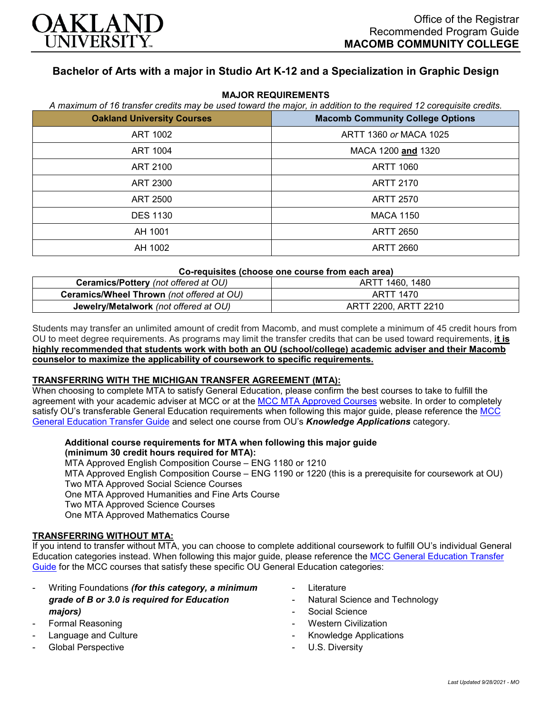

# **Bachelor of Arts with a major in Studio Art K-12 and a Specialization in Graphic Design**

| <b>Oakland University Courses</b> | <b>Macomb Community College Options</b> |
|-----------------------------------|-----------------------------------------|
| <b>ART 1002</b>                   | ARTT 1360 or MACA 1025                  |
| ART 1004                          | MACA 1200 and 1320                      |
| ART 2100                          | ARTT 1060                               |
| ART 2300                          | ARTT 2170                               |
| ART 2500                          | <b>ARTT 2570</b>                        |
| <b>DES 1130</b>                   | <b>MACA 1150</b>                        |
| AH 1001                           | <b>ARTT 2650</b>                        |
| AH 1002                           | <b>ARTT 2660</b>                        |

#### **MAJOR REQUIREMENTS** *A maximum of 16 transfer credits may be used toward the major, in addition to the required 12 corequisite credits.*

## **Co-requisites (choose one course from each area)**

| Ceramics/Pottery (not offered at OU)      | ARTT 1460, 1480      |
|-------------------------------------------|----------------------|
| Ceramics/Wheel Thrown (not offered at OU) | ARTT 1470            |
| Jewelry/Metalwork (not offered at OU)     | ARTT 2200, ARTT 2210 |

Students may transfer an unlimited amount of credit from Macomb, and must complete a minimum of 45 credit hours from OU to meet degree requirements. As programs may limit the transfer credits that can be used toward requirements, **it is highly recommended that students work with both an OU (school/college) academic adviser and their Macomb counselor to maximize the applicability of coursework to specific requirements.**

### **TRANSFERRING WITH THE MICHIGAN TRANSFER AGREEMENT (MTA):**

When choosing to complete MTA to satisfy General Education, please confirm the best courses to take to fulfill the agreement with your academic adviser at MCC or at the [MCC MTA Approved Courses](http://www.macomb.edu/resources/transfer-articulation/attachments/mta-macrao-course-list.pdf) website. In order to completely satisfy OU's transferable General Education requirements when following this major guide, please reference the MCC [General Education Transfer Guide](https://wwwp.oakland.edu/Assets/Oakland/program-guides/macomb-community-college/university-general-education-requirements/MCC%20Gen%20Ed.pdf) and select one course from OU's *Knowledge Applications* category.

#### **Additional course requirements for MTA when following this major guide (minimum 30 credit hours required for MTA):**

MTA Approved English Composition Course – ENG 1180 or 1210 MTA Approved English Composition Course – ENG 1190 or 1220 (this is a prerequisite for coursework at OU) Two MTA Approved Social Science Courses One MTA Approved Humanities and Fine Arts Course Two MTA Approved Science Courses One MTA Approved Mathematics Course

## **TRANSFERRING WITHOUT MTA:**

If you intend to transfer without MTA, you can choose to complete additional coursework to fulfill OU's individual General Education categories instead. When following this major guide, please reference the [MCC General Education Transfer](https://wwwp.oakland.edu/Assets/Oakland/program-guides/macomb-community-college/university-general-education-requirements/MCC%20Gen%20Ed.pdf)  [Guide](https://wwwp.oakland.edu/Assets/Oakland/program-guides/macomb-community-college/university-general-education-requirements/MCC%20Gen%20Ed.pdf) for the MCC courses that satisfy these specific OU General Education categories:

- Writing Foundations *(for this category, a minimum grade of B or 3.0 is required for Education majors)*
- Formal Reasoning
- Language and Culture
- Global Perspective
- **Literature**
- Natural Science and Technology
- Social Science
- **Western Civilization**
- Knowledge Applications
- U.S. Diversity